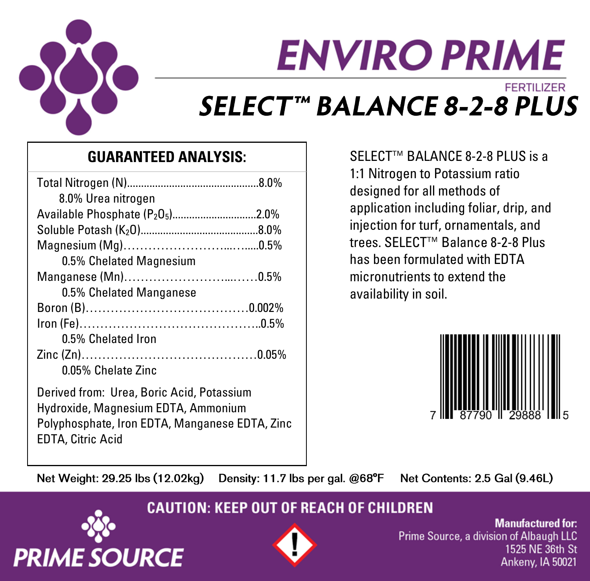

# **ENVIRO PRIME FERTILIZER SELECT<sup>™</sup> BALANCE 8-2-8 PLUS**

## **GUARANTEED ANALYSIS:**

| 8.0% Urea nitrogen                                       |
|----------------------------------------------------------|
| Available Phosphate (P <sub>2</sub> O <sub>5</sub> )2.0% |
|                                                          |
|                                                          |
| 0.5% Chelated Magnesium                                  |
|                                                          |
| 0.5% Chelated Manganese                                  |
|                                                          |
|                                                          |
| 0.5% Chelated Iron                                       |
|                                                          |
| 0.05% Chelate Zinc                                       |
| Derived from: Urea, Boric Acid, Potassium                |
| Hydroxide, Magnesium EDTA, Ammonium                      |

Polyphosphate, Iron EDTA, Manganese EDTA, Zinc

SELECT™ BALANCE 8-2-8 PLUS is a 1:1 Nitrogen to Potassium ratio designed for all methods of application including foliar, drip, and injection for turf, ornamentals, and trees. SELECT™ Balance 8-2-8 Plus has been formulated with EDTA micronutrients to extend the availability in soil.



Net Weight: 29.25 lbs (12.02kg)

Density: 11.7 lbs per gal. @68°F

Net Contents: 2.5 Gal (9.46L)

### **CAUTION: KEEP OUT OF REACH OF CHILDREN**



EDTA, Citric Acid



**Manufactured for:** Prime Source, a division of Albaugh LLC 1525 NE 36th St Ankeny, IA 50021